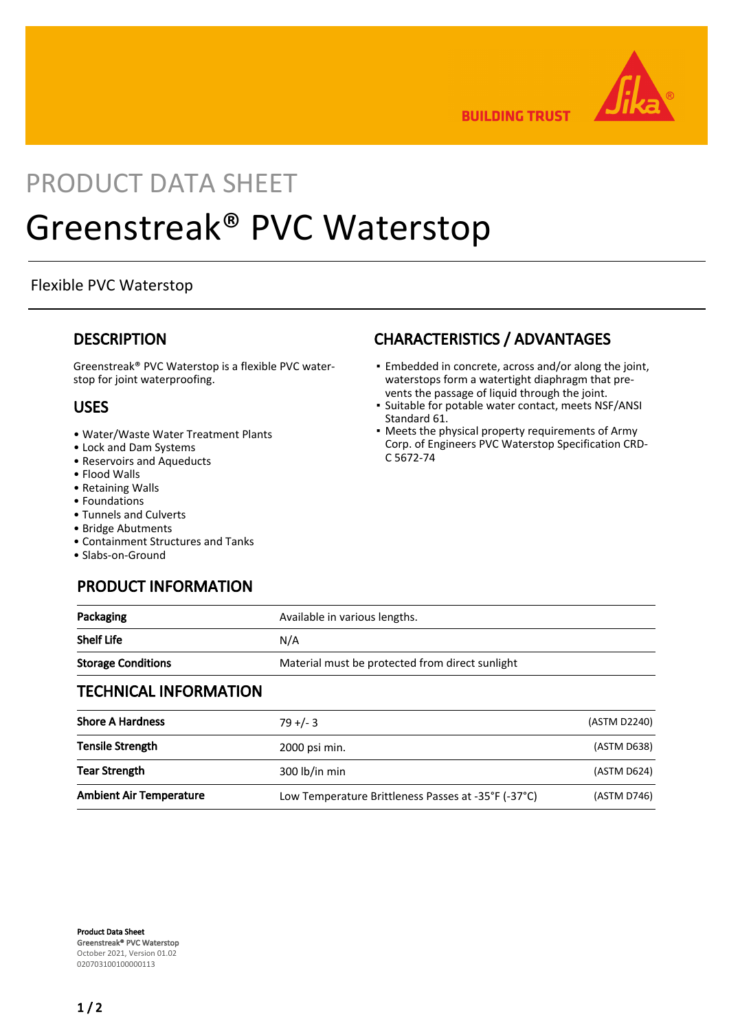

**BUILDING TRUST** 

## PRODUCT DATA SHEET

# Greenstreak® PVC Waterstop

#### Flexible PVC Waterstop

#### **DESCRIPTION**

Greenstreak® PVC Waterstop is a flexible PVC waterstop for joint waterproofing.

#### USES

- Water/Waste Water Treatment Plants
- Lock and Dam Systems
- Reservoirs and Aqueducts
- Flood Walls
- Retaining Walls
- Foundations
- Tunnels and Culverts
- Bridge Abutments
- Containment Structures and Tanks
- Slabs-on-Ground

## PRODUCT INFORMATION

## CHARACTERISTICS / ADVANTAGES

- Embedded in concrete, across and/or along the joint, waterstops form a watertight diaphragm that prevents the passage of liquid through the joint.
- **·** Suitable for potable water contact, meets NSF/ANSI Standard 61.
- Meets the physical property requirements of Army Corp. of Engineers PVC Waterstop Specification CRD-C 5672-74

| Packaging                    | Available in various lengths.                   |
|------------------------------|-------------------------------------------------|
| <b>Shelf Life</b>            | N/A                                             |
| <b>Storage Conditions</b>    | Material must be protected from direct sunlight |
| <b>TECHNICAL INFORMATION</b> |                                                 |

| <b>Shore A Hardness</b>        | $79 + (-3)$                                         | (ASTM D2240) |
|--------------------------------|-----------------------------------------------------|--------------|
| <b>Tensile Strength</b>        | 2000 psi min.                                       | (ASTM D638)  |
| <b>Tear Strength</b>           | 300 lb/in min                                       | (ASTM D624)  |
| <b>Ambient Air Temperature</b> | Low Temperature Brittleness Passes at -35°F (-37°C) | (ASTM D746)  |